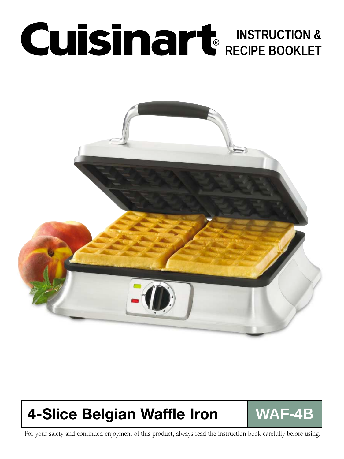# **INSTRUCTION & RECIPE BOOKLET**



## **4-Slice Belgian Waffle Iron WAF-4B**

For your safety and continued enjoyment of this product, always read the instruction book carefully before using.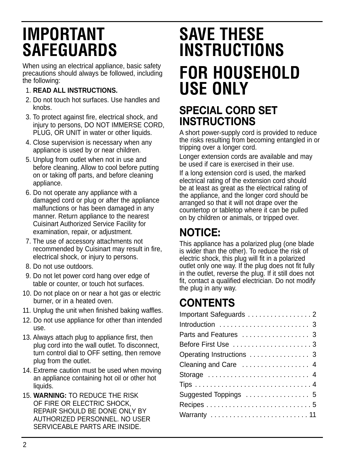## **IMPORTANT SAFEGUARDS**

When using an electrical appliance, basic safety precautions should always be followed, including the following:

#### 1. **READ ALL INSTRUCTIONS.**

- 2. Do not touch hot surfaces. Use handles and knobs.
- 3. To protect against fire, electrical shock, and injury to persons, DO NOT IMMERSE CORD, PLUG, OR UNIT in water or other liquids.
- 4. Close supervision is necessary when any appliance is used by or near children.
- 5. Unplug from outlet when not in use and before cleaning. Allow to cool before putting on or taking off parts, and before cleaning appliance.
- 6. Do not operate any appliance with a damaged cord or plug or after the appliance malfunctions or has been damaged in any manner. Return appliance to the nearest Cuisinart Authorized Service Facility for examination, repair, or adjustment.
- 7. The use of accessory attachments not recommended by Cuisinart may result in fire, electrical shock, or injury to persons.
- 8. Do not use outdoors.
- 9. Do not let power cord hang over edge of table or counter, or touch hot surfaces.
- 10. Do not place on or near a hot gas or electric burner, or in a heated oven.
- 11. Unplug the unit when finished baking waffles.
- 12. Do not use appliance for other than intended use.
- 13. Always attach plug to appliance first, then plug cord into the wall outlet. To disconnect, turn control dial to OFF setting, then remove plug from the outlet.
- 14. Extreme caution must be used when moving an appliance containing hot oil or other hot liquids.
- 15. **WARNING:** TO REDUCE THE RISK OF FIRE OR ELECTRIC SHOCK, REPAIR SHOULD BE DONE ONLY BY AUTHORIZED PERSONNEL. NO USER SERVICEABLE PARTS ARE INSIDE.

# **SAVE THESE INSTRUCTIONS FOR HOUSEHOLD USE ONLY**

### **SPECIAL CORD SET INSTRUCTIONS**

A short power-supply cord is provided to reduce the risks resulting from becoming entangled in or tripping over a longer cord.

Longer extension cords are available and may be used if care is exercised in their use.

If a long extension cord is used, the marked electrical rating of the extension cord should be at least as great as the electrical rating of the appliance, and the longer cord should be arranged so that it will not drape over the countertop or tabletop where it can be pulled on by children or animals, or tripped over.

## **NOTICE:**

This appliance has a polarized plug (one blade is wider than the other). To reduce the risk of electric shock, this plug will fit in a polarized outlet only one way. If the plug does not fit fully in the outlet, reverse the plug. If it still does not fit, contact a qualified electrician. Do not modify the plug in any way.

## **CONTENTS**

| Important Safeguards 2    |
|---------------------------|
|                           |
|                           |
|                           |
| Operating Instructions  3 |
| Cleaning and Care  4      |
|                           |
|                           |
| Suggested Toppings  5     |
|                           |
| Warranty  11              |
|                           |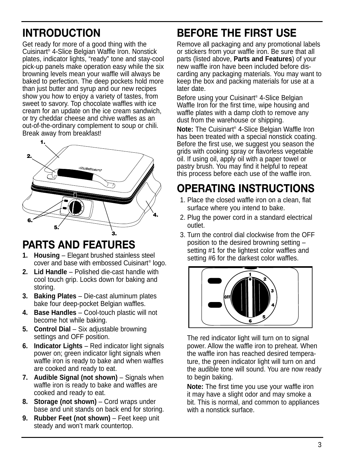## **INTRODUCTION**

Get ready for more of a good thing with the Cuisinart® 4-Slice Belgian Waffle Iron. Nonstick plates, indicator lights, "ready" tone and stay-cool pick-up panels make operation easy while the six browning levels mean your waffle will always be baked to perfection. The deep pockets hold more than just butter and syrup and our new recipes show you how to enjoy a variety of tastes, from sweet to savory. Top chocolate waffles with ice cream for an update on the ice cream sandwich, or try cheddar cheese and chive waffles as an out-of-the-ordinary complement to soup or chili. Break away from breakfast!



### **PARTS AND FEATURES**

- **1. Housing** Elegant brushed stainless steel cover and base with embossed Cuisinart® logo.
- **2. Lid Handle** Polished die-cast handle with cool touch grip. Locks down for baking and storing.
- **3. Baking Plates** Die-cast aluminum plates bake four deep-pocket Belgian waffles.
- **4. Base Handles** Cool-touch plastic will not become hot while baking.
- **5. Control Dial** Six adjustable browning settings and OFF position.
- **6. Indicator Lights** Red indicator light signals power on; green indicator light signals when waffle iron is ready to bake and when waffles are cooked and ready to eat.
- **7. Audible Signal (not shown)** Signals when waffle iron is ready to bake and waffles are cooked and ready to eat.
- **8. Storage (not shown)** Cord wraps under base and unit stands on back end for storing.
- **9. Rubber Feet (not shown)** Feet keep unit steady and won't mark countertop.

## **BEFORE THE FIRST USE**

Remove all packaging and any promotional labels or stickers from your waffle iron. Be sure that all parts (listed above, **Parts and Features**) of your new waffle iron have been included before discarding any packaging materials. You may want to keep the box and packing materials for use at a later date.

Before using your Cuisinart® 4-Slice Belgian Waffle Iron for the first time, wipe housing and waffle plates with a damp cloth to remove any dust from the warehouse or shipping.

**Note:** The Cuisinart® 4-Slice Belgian Waffle Iron has been treated with a special nonstick coating. Before the first use, we suggest you season the grids with cooking spray or flavorless vegetable oil. If using oil, apply oil with a paper towel or pastry brush. You may find it helpful to repeat this process before each use of the waffle iron.

## **OPERATING INSTRUCTIONS**

- 1. Place the closed waffle iron on a clean, flat surface where you intend to bake.
- 2. Plug the power cord in a standard electrical outlet.
- 3. Turn the control dial clockwise from the OFF position to the desired browning setting – setting #1 for the lightest color waffles and setting #6 for the darkest color waffles.



The red indicator light will turn on to signal power. Allow the waffle iron to preheat. When the waffle iron has reached desired temperature, the green indicator light will turn on and the audible tone will sound. You are now ready to begin baking.

**Note:** The first time you use your waffle iron it may have a slight odor and may smoke a bit. This is normal, and common to appliances with a nonstick surface.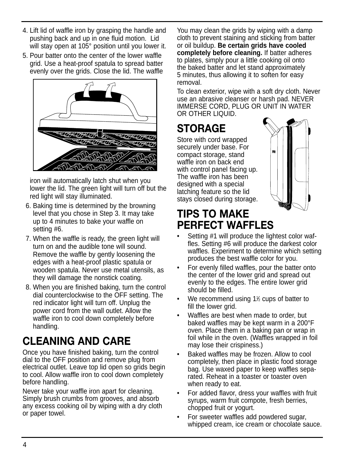- 4. Lift lid of waffle iron by grasping the handle and pushing back and up in one fluid motion. Lid will stay open at 105° position until you lower it.
- 5. Pour batter onto the center of the lower waffle grid. Use a heat-proof spatula to spread batter evenly over the grids. Close the lid. The waffle



iron will automatically latch shut when you lower the lid. The green light will turn off but the red light will stay illuminated.

- 6. Baking time is determined by the browning level that you chose in Step 3. It may take up to 4 minutes to bake your waffle on setting #6.
- 7. When the waffle is ready, the green light will turn on and the audible tone will sound. Remove the waffle by gently loosening the edges with a heat-proof plastic spatula or wooden spatula. Never use metal utensils, as they will damage the nonstick coating.
- 8. When you are finished baking, turn the control dial counterclockwise to the OFF setting. The red indicator light will turn off. Unplug the power cord from the wall outlet. Allow the waffle iron to cool down completely before handling.

## **CLEANING AND CARE**

Once you have finished baking, turn the control dial to the OFF position and remove plug from electrical outlet. Leave top lid open so grids begin to cool. Allow waffle iron to cool down completely before handling.

Never take your waffle iron apart for cleaning. Simply brush crumbs from grooves, and absorb any excess cooking oil by wiping with a dry cloth or paper towel.

You may clean the grids by wiping with a damp cloth to prevent staining and sticking from batter or oil buildup. **Be certain grids have cooled completely before cleaning.** If batter adheres to plates, simply pour a little cooking oil onto the baked batter and let stand approximately 5 minutes, thus allowing it to soften for easy removal.

To clean exterior, wipe with a soft dry cloth. Never use an abrasive cleanser or harsh pad. NEVER IMMERSE CORD, PLUG OR UNIT IN WATER OR OTHER LIQUID.

## **STORAGE**

Store with cord wrapped securely under base. For compact storage, stand waffle iron on back end with control panel facing up. The waffle iron has been designed with a special latching feature so the lid stays closed during storage.



### **TIPS TO MAKE PERFECT WAFFLES**

- Setting #1 will produce the lightest color waffles. Setting #6 will produce the darkest color waffles. Experiment to determine which setting produces the best waffle color for you.
- For evenly filled waffles, pour the batter onto the center of the lower grid and spread out evenly to the edges. The entire lower grid should be filled.
- We recommend using 1<sup>1</sup>% cups of batter to fill the lower grid.
- Waffles are best when made to order, but baked waffles may be kept warm in a 200°F oven. Place them in a baking pan or wrap in foil while in the oven. (Waffles wrapped in foil may lose their crispiness.)
- Baked waffles may be frozen. Allow to cool completely, then place in plastic food storage bag. Use waxed paper to keep waffles separated. Reheat in a toaster or toaster oven when ready to eat.
- For added flavor, dress your waffles with fruit syrups, warm fruit compote, fresh berries, chopped fruit or yogurt.
- For sweeter waffles add powdered sugar, whipped cream, ice cream or chocolate sauce.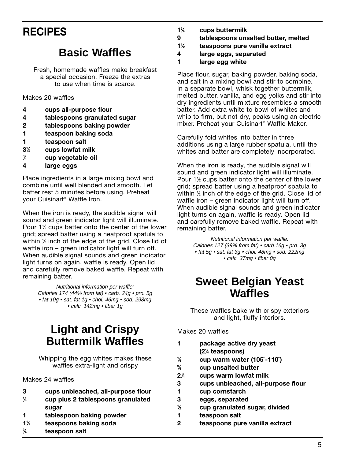### **RECIPES**

#### **Basic Waffles**

Fresh, homemade waffles make breakfast a special occasion. Freeze the extras to use when time is scarce.

Makes 20 waffles

- **4 cups all-purpose flour**
- **4 tablespoons granulated sugar**
- **2 tablespoons baking powder**
- **1 teaspoon baking soda**
- **1 teaspoon salt**
- **31 ⁄2 cups lowfat milk**
- **3 ⁄4 cup vegetable oil**
- **4 large eggs**

Place ingredients in a large mixing bowl and combine until well blended and smooth. Let batter rest 5 minutes before using. Preheat your Cuisinart® Waffle Iron.

When the iron is ready, the audible signal will sound and green indicator light will illuminate. Pour 1½ cups batter onto the center of the lower grid; spread batter using a heatproof spatula to within 1 ⁄2 inch of the edge of the grid. Close lid of waffle iron – green indicator light will turn off. When audible signal sounds and green indicator light turns on again, waffle is ready. Open lid and carefully remove baked waffle. Repeat with remaining batter.

> Nutritional information per waffle: Calories 174 (44% from fat) • carb. 24g • pro. 5g • fat 10g • sat. fat 1g • chol. 46mg • sod. 298mg • calc. 142mg • fiber 1g

#### **Light and Crispy Buttermilk Waffles**

Whipping the egg whites makes these waffles extra-light and crispy

Makes 24 waffles

- **3 cups unbleached, all-purpose flour**
- **1 ⁄4 cup plus 2 tablespoons granulated sugar**
- **1 tablespoon baking powder**
- **11 ⁄2 teaspoons baking soda**
- **3 ⁄4 teaspoon salt**
- **13 ⁄4 cups buttermilk**
- **9 tablespoons unsalted butter, melted**
- **11 ⁄2 teaspoons pure vanilla extract**
- **4 large eggs, separated**

**1 large egg white**

Place flour, sugar, baking powder, baking soda, and salt in a mixing bowl and stir to combine. In a separate bowl, whisk together buttermilk, melted butter, vanilla, and egg yolks and stir into dry ingredients until mixture resembles a smooth batter. Add extra white to bowl of whites and whip to firm, but not dry, peaks using an electric mixer. Preheat your Cuisinart® Waffle Maker.

Carefully fold whites into batter in three additions using a large rubber spatula, until the whites and batter are completely incorporated.

When the iron is ready, the audible signal will sound and green indicator light will illuminate. Pour 1<sup>1/2</sup> cups batter onto the center of the lower grid; spread batter using a heatproof spatula to within 1 ⁄2 inch of the edge of the grid. Close lid of waffle iron – green indicator light will turn off. When audible signal sounds and green indicator light turns on again, waffle is ready. Open lid and carefully remove baked waffle. Repeat with remaining batter.

> Nutritional information per waffle: Calories 127 (39% from fat) • carb.16g • pro. 3g • fat 5g • sat. fat 3g • chol. 48mg • sod. 222mg • calc. 37mg • fiber 0g

#### **Sweet Belgian Yeast Waffles**

These waffles bake with crispy exteriors and light, fluffy interiors.

Makes 20 waffles

- **1 package active dry yeast (21 ⁄4 teaspoons)**
- **1 ⁄4 cup warm water (105˚-110˚)**
- **3 ⁄4 cup unsalted butter**
- **23 ⁄4 cups warm lowfat milk**
- **3 cups unbleached, all-purpose flour**
- **1 cup cornstarch**
- **3 eggs, separated**
- **1 ⁄2 cup granulated sugar, divided**
- **1 teaspoon salt**
- **2 teaspoons pure vanilla extract**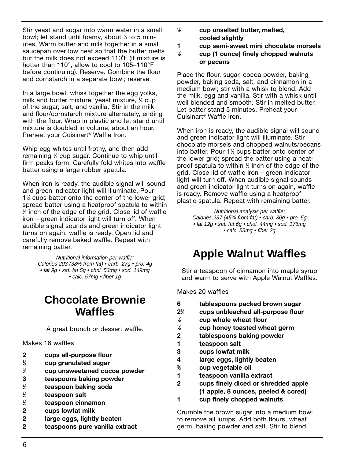Stir yeast and sugar into warm water in a small bowl; let stand until foamy, about 3 to 5 minutes. Warm butter and milk together in a small saucepan over low heat so that the butter melts but the milk does not exceed 110˚F (if mixture is hotter than 110°, allow to cool to 105–110°F before continuing). Reserve. Combine the flour and cornstarch in a separate bowl; reserve.

In a large bowl, whisk together the egg yolks, milk and butter mixture, yeast mixture, 1 ⁄4 cup of the sugar, salt, and vanilla. Stir in the milk and flour/cornstarch mixture alternately, ending with the flour. Wrap in plastic and let stand until mixture is doubled in volume, about an hour. Preheat your Cuisinart® Waffle Iron.

Whip egg whites until frothy, and then add remaining 1 ⁄4 cup sugar. Continue to whip until firm peaks form. Carefully fold whites into waffle batter using a large rubber spatula.

When iron is ready, the audible signal will sound and green indicator light will illuminate. Pour 11 ⁄2 cups batter onto the center of the lower grid; spread batter using a heatproof spatula to within  $\%$  inch of the edge of the grid. Close lid of waffle iron – green indicator light will turn off. When audible signal sounds and green indicator light turns on again, waffle is ready. Open lid and carefully remove baked waffle. Repeat with remaining batter.

> Nutritional information per waffle: Calories 203 (38% from fat) • carb. 27g • pro. 4g • fat 9g • sat. fat 5g • chol. 53mg • sod. 149mg • calc. 57mg • fiber 1g

#### **Chocolate Brownie Waffles**

A great brunch or dessert waffle.

#### Makes 16 waffles

- **2 cups all-purpose flour**
- **3 ⁄4 cup granulated sugar**
- **2 ⁄3 cup unsweetened cocoa powder**
- **3 teaspoons baking powder**
- **1 ⁄2 teaspoon baking soda**
- **1 ⁄2 teaspoon salt**
- **1 ⁄2 teaspoon cinnamon**
- **2 cups lowfat milk**
- **2 large eggs, lightly beaten**
- **2 teaspoons pure vanilla extract**
- **1 ⁄2 cup unsalted butter, melted, cooled slightly**
- **1 cup semi-sweet mini chocolate morsels**
- **1 ⁄2 cup (1 ounce) finely chopped walnuts or pecans**

Place the flour, sugar, cocoa powder, baking powder, baking soda, salt, and cinnamon in a medium bowl; stir with a whisk to blend. Add the milk, egg and vanilla. Stir with a whisk until well blended and smooth. Stir in melted butter. Let batter stand 5 minutes. Preheat your Cuisinart® Waffle Iron.

When iron is ready, the audible signal will sound and green indicator light will illuminate. Stir chocolate morsels and chopped walnuts/pecans into batter. Pour 1½ cups batter onto center of the lower grid; spread the batter using a heatproof spatula to within 1/2 inch of the edge of the grid. Close lid of waffle iron – green indicator light will turn off. When audible signal sounds and green indicator light turns on again, waffle is ready. Remove waffle using a heatproof plastic spatula. Repeat with remaining batter.

> Nutritional analysis per waffle: Calories 237 (45% from fat) • carb. 30g • pro. 5g • fat 12g • sat. fat 6g • chol. 44mg • sod. 176mg • calc. 55mg • fiber 2g

#### **Apple Walnut Waffles**

Stir a teaspoon of cinnamon into maple syrup and warm to serve with Apple Walnut Waffles.

Makes 20 waffles

- **6 tablespoons packed brown sugar 22 ⁄3 cups unbleached all-purpose flour**
- **1 ⁄2 cup whole wheat flour**
- **1 ⁄2 cup honey toasted wheat germ**
- **2 tablespoons baking powder**
- **1 teaspoon salt**
- **3 cups lowfat milk**
- **4 large eggs, lightly beaten**
- **2 ⁄3 cup vegetable oil**
- **1 teaspoon vanilla extract**
- **2 cups finely diced or shredded apple (1 apple, 8 ounces, peeled & cored)**
- **1 cup finely chopped walnuts**

Crumble the brown sugar into a medium bowl to remove all lumps. Add both flours, wheat germ, baking powder and salt. Stir to blend.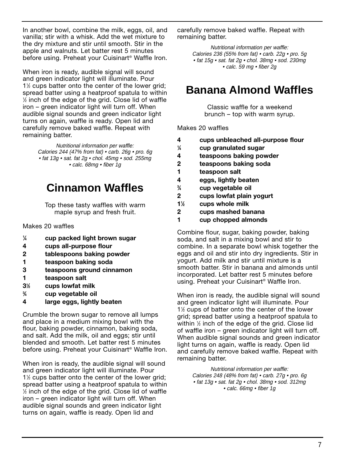In another bowl, combine the milk, eggs, oil, and vanilla; stir with a whisk. Add the wet mixture to the dry mixture and stir until smooth. Stir in the apple and walnuts. Let batter rest 5 minutes before using. Preheat your Cuisinart® Waffle Iron.

When iron is ready, audible signal will sound and green indicator light will illuminate. Pour 1<sup>1/2</sup> cups batter onto the center of the lower grid; spread batter using a heatproof spatula to within 1 ⁄2 inch of the edge of the grid. Close lid of waffle iron – green indicator light will turn off. When audible signal sounds and green indicator light turns on again, waffle is ready. Open lid and carefully remove baked waffle. Repeat with remaining batter.

> Nutritional information per waffle: Calories 244 (47% from fat) • carb. 26g • pro. 6g • fat 13g • sat. fat 2g • chol. 45mg • sod. 255mg • calc. 68mg • fiber 1g

#### **Cinnamon Waffles**

Top these tasty waffles with warm maple syrup and fresh fruit.

Makes 20 waffles

- **1 ⁄4 cup packed light brown sugar**
- **4 cups all-purpose flour**
- **2 tablespoons baking powder**
- **1 teaspoon baking soda**
- **3 teaspoons ground cinnamon**
- **1 teaspoon salt**
- **31 ⁄2 cups lowfat milk**
- **3 ⁄4 cup vegetable oil**
- **4 large eggs, lightly beaten**

Crumble the brown sugar to remove all lumps and place in a medium mixing bowl with the flour, baking powder, cinnamon, baking soda, and salt. Add the milk, oil and eggs; stir until blended and smooth. Let batter rest 5 minutes before using. Preheat your Cuisinart® Waffle Iron.

When iron is ready, the audible signal will sound and green indicator light will illuminate. Pour 1<sup>1</sup>/<sub>2</sub> cups batter onto the center of the lower grid; spread batter using a heatproof spatula to within 1 ⁄2 inch of the edge of the grid. Close lid of waffle iron – green indicator light will turn off. When audible signal sounds and green indicator light turns on again, waffle is ready. Open lid and

carefully remove baked waffle. Repeat with remaining batter.

> Nutritional information per waffle: Calories 236 (55% from fat) • carb. 22g • pro. 5g • fat 15g • sat. fat 2g • chol. 38mg • sod. 230mg • calc. 59 mg • fiber 2g

#### **Banana Almond Waffles**

Classic waffle for a weekend brunch – top with warm syrup.

Makes 20 waffles

- **4 cups unbleached all-purpose flour**
- **1 ⁄4 cup granulated sugar**
- **4 teaspoons baking powder**
- **2 teaspoons baking soda**
- **1 teaspoon salt**
- **4 eggs, lightly beaten**
- **3 ⁄4 cup vegetable oil**
- **2 cups lowfat plain yogurt**
- **11 ⁄2 cups whole milk**
- **2 cups mashed banana**
- **1 cup chopped almonds**

Combine flour, sugar, baking powder, baking soda, and salt in a mixing bowl and stir to combine. In a separate bowl whisk together the eggs and oil and stir into dry ingredients. Stir in yogurt. Add milk and stir until mixture is a smooth batter. Stir in banana and almonds until incorporated. Let batter rest 5 minutes before using. Preheat your Cuisinart® Waffle Iron.

When iron is ready, the audible signal will sound and green indicator light will illuminate. Pour 1<sup>1</sup>/<sub>2</sub> cups of batter onto the center of the lower grid; spread batter using a heatproof spatula to within 1 ⁄2 inch of the edge of the grid. Close lid of waffle iron – green indicator light will turn off. When audible signal sounds and green indicator light turns on again, waffle is ready. Open lid and carefully remove baked waffle. Repeat with remaining batter.

> Nutritional information per waffle: Calories 248 (48% from fat) • carb. 27g • pro. 6g • fat 13g • sat. fat 2g • chol. 38mg • sod. 312mg • calc. 66mg • fiber 1g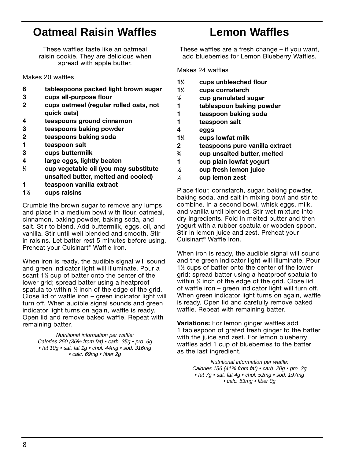#### **Oatmeal Raisin Waffles**

These waffles taste like an oatmeal raisin cookie. They are delicious when spread with apple butter.

Makes 20 waffles

- **6 tablespoons packed light brown sugar**
- **3 cups all-purpose flour**
- **2 cups oatmeal (regular rolled oats, not quick oats)**
- **4 teaspoons ground cinnamon**
- **3 teaspoons baking powder**
- **2 teaspoons baking soda**
- **1 teaspoon salt**
- **3 cups buttermilk**
- **4 large eggs, lightly beaten**
- **3 ⁄4 cup vegetable oil (you may substitute unsalted butter, melted and cooled)**
- **1 teaspoon vanilla extract**
- **11 ⁄3 cups raisins**

Crumble the brown sugar to remove any lumps and place in a medium bowl with flour, oatmeal, cinnamon, baking powder, baking soda, and salt. Stir to blend. Add buttermilk, eggs, oil, and vanilla. Stir until well blended and smooth. Stir in raisins. Let batter rest 5 minutes before using. Preheat your Cuisinart® Waffle Iron.

When iron is ready, the audible signal will sound and green indicator light will illuminate. Pour a scant 1½ cup of batter onto the center of the lower grid; spread batter using a heatproof spatula to within  $\%$  inch of the edge of the grid. Close lid of waffle iron – green indicator light will turn off. When audible signal sounds and green indicator light turns on again, waffle is ready. Open lid and remove baked waffle. Repeat with remaining batter.

> Nutritional information per waffle: Calories 250 (36% from fat) • carb. 35g • pro. 6g • fat 10g • sat. fat 1g • chol. 44mg • sod. 316mg • calc. 69mg • fiber 2g

#### **Lemon Waffles**

These waffles are a fresh change – if you want, add blueberries for Lemon Blueberry Waffles.

Makes 24 waffles

- **11 ⁄2 cups unbleached flour**
- **11 ⁄2 cups cornstarch**
- **1 ⁄2 cup granulated sugar**
- **1 tablespoon baking powder**
- **1 teaspoon baking soda**
- **1 teaspoon salt**
- **4 eggs**
- **11 ⁄3 cups lowfat milk**
- **2 teaspoons pure vanilla extract**
- **3 ⁄4 cup unsalted butter, melted**
- **1 cup plain lowfat yogurt**
- **1 ⁄2 cup fresh lemon juice**
- **1 ⁄4 cup lemon zest**

Place flour, cornstarch, sugar, baking powder, baking soda, and salt in mixing bowl and stir to combine. In a second bowl, whisk eggs, milk, and vanilla until blended. Stir wet mixture into dry ingredients. Fold in melted butter and then yogurt with a rubber spatula or wooden spoon. Stir in lemon juice and zest. Preheat your Cuisinart® Waffle Iron.

When iron is ready, the audible signal will sound and the green indicator light will illuminate. Pour 1<sup>1</sup>/<sub>2</sub> cups of batter onto the center of the lower grid; spread batter using a heatproof spatula to within 1 ⁄2 inch of the edge of the grid. Close lid of waffle iron – green indicator light will turn off. When green indicator light turns on again, waffle is ready. Open lid and carefully remove baked waffle. Repeat with remaining batter.

**Variations:** For lemon ginger waffles add 1 tablespoon of grated fresh ginger to the batter with the juice and zest. For lemon blueberry waffles add 1 cup of blueberries to the batter as the last ingredient.

> Nutritional information per waffle: Calories 156 (41% from fat) • carb. 20g • pro. 3g • fat 7g • sat. fat 4g • chol. 52mg • sod. 197mg • calc. 53mg • fiber 0g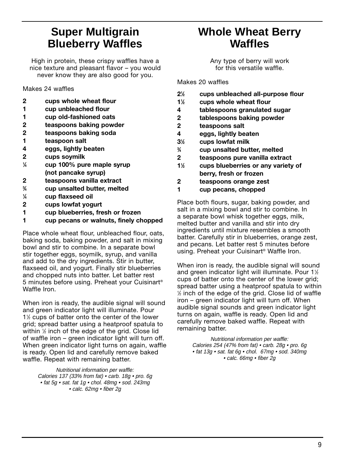#### **Super Multigrain Blueberry Waffles**

High in protein, these crispy waffles have a nice texture and pleasant flavor – you would never know they are also good for you.

Makes 24 waffles

- **2 cups whole wheat flour**
- **1 cup unbleached flour**
- **1 cup old-fashioned oats**
- **2 teaspoons baking powder**
- **2 teaspoons baking soda**
- **1 teaspoon salt**
- **4 eggs, lightly beaten**
- **2 cups soymilk**
- **1 ⁄4 cup 100% pure maple syrup (not pancake syrup)**
- **2 teaspoons vanilla extract**
- **3 ⁄4 cup unsalted butter, melted**
- **1 ⁄4 cup flaxseed oil**
- **2 cups lowfat yogurt**
- **1 cup blueberries, fresh or frozen**
- **1 cup pecans or walnuts, finely chopped**

Place whole wheat flour, unbleached flour, oats, baking soda, baking powder, and salt in mixing bowl and stir to combine. In a separate bowl stir together eggs, soymilk, syrup, and vanilla and add to the dry ingredients. Stir in butter, flaxseed oil, and yogurt. Finally stir blueberries and chopped nuts into batter. Let batter rest 5 minutes before using. Preheat your Cuisinart® Waffle Iron.

When iron is ready, the audible signal will sound and green indicator light will illuminate. Pour 11 ⁄2 cups of batter onto the center of the lower grid; spread batter using a heatproof spatula to within 1 ⁄2 inch of the edge of the grid. Close lid of waffle iron – green indicator light will turn off. When green indicator light turns on again, waffle is ready. Open lid and carefully remove baked waffle. Repeat with remaining batter.

> Nutritional information per waffle: Calories 137 (33% from fat) • carb. 18g • pro. 6g • fat 5g • sat. fat 1g • chol. 48mg • sod. 243mg • calc. 62mg • fiber 2g

#### **Whole Wheat Berry Waffles**

Any type of berry will work for this versatile waffle.

Makes 20 waffles

- **21 ⁄2 cups unbleached all-purpose flour**
- **11 ⁄2 cups whole wheat flour**
- **4 tablespoons granulated sugar**
- **2 tablespoons baking powder**
- **2 teaspoons salt**
- **4 eggs, lightly beaten**
- **31 ⁄2 cups lowfat milk**
- **3 ⁄4 cup unsalted butter, melted**
- **2 teaspoons pure vanilla extract**
- **11 ⁄2 cups blueberries or any variety of berry, fresh or frozen**
- **2 teaspoons orange zest**
- **1 cup pecans, chopped**

Place both flours, sugar, baking powder, and salt in a mixing bowl and stir to combine. In a separate bowl whisk together eggs, milk, melted butter and vanilla and stir into dry ingredients until mixture resembles a smooth batter. Carefully stir in blueberries, orange zest, and pecans. Let batter rest 5 minutes before using. Preheat your Cuisinart® Waffle Iron.

When iron is ready, the audible signal will sound and green indicator light will illuminate. Pour 1½ cups of batter onto the center of the lower grid; spread batter using a heatproof spatula to within 1 ⁄2 inch of the edge of the grid. Close lid of waffle iron – green indicator light will turn off. When audible signal sounds and green indicator light turns on again, waffle is ready. Open lid and carefully remove baked waffle. Repeat with remaining batter.

> Nutritional information per waffle: Calories 254 (47% from fat) • carb. 28g • pro. 6g • fat 13g • sat. fat 6g • chol. 67mg • sod. 340mg • calc. 66mg • fiber 2g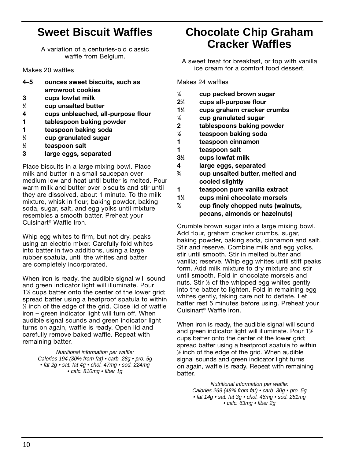#### **Sweet Biscuit Waffles**

A variation of a centuries-old classic waffle from Belgium.

Makes 20 waffles

- **4–5 ounces sweet biscuits, such as arrowroot cookies**
- **3 cups lowfat milk**
- **1 ⁄2 cup unsalted butter**
- **4 cups unbleached, all-purpose flour**
- **1 tablespoon baking powder**
- **1 teaspoon baking soda**
- **1 ⁄4 cup granulated sugar**
- **1 ⁄2 teaspoon salt**
- **3 large eggs, separated**

Place biscuits in a large mixing bowl. Place milk and butter in a small saucepan over medium low and heat until butter is melted. Pour warm milk and butter over biscuits and stir until they are dissolved, about 1 minute. To the milk mixture, whisk in flour, baking powder, baking soda, sugar, salt, and egg yolks until mixture resembles a smooth batter. Preheat your Cuisinart® Waffle Iron.

Whip egg whites to firm, but not dry, peaks using an electric mixer. Carefully fold whites into batter in two additions, using a large rubber spatula, until the whites and batter are completely incorporated.

When iron is ready, the audible signal will sound and green indicator light will illuminate. Pour 1<sup>1/2</sup> cups batter onto the center of the lower grid; spread batter using a heatproof spatula to within 1 ⁄2 inch of the edge of the grid. Close lid of waffle iron – green indicator light will turn off. When audible signal sounds and green indicator light turns on again, waffle is ready. Open lid and carefully remove baked waffle. Repeat with remaining batter.

> Nutritional information per waffle: Calories 194 (30% from fat) • carb. 28g • pro. 5g • fat 2g • sat. fat 4g • chol. 47mg • sod. 224mg • calc. 810mg • fiber 1g

#### **Chocolate Chip Graham Cracker Waffles**

A sweet treat for breakfast, or top with vanilla ice cream for a comfort food dessert.

Makes 24 waffles

- **1 ⁄4 cup packed brown sugar**
- **22 ⁄3 cups all-purpose flour**
- **11 ⁄3 cups graham cracker crumbs**
- **1 ⁄4 cup granulated sugar**
- **2 tablespoons baking powder**
- **1 ⁄2 teaspoon baking soda**
- **1 teaspoon cinnamon**
- **1 teaspoon salt**
- **31 ⁄2 cups lowfat milk**
- **4 large eggs, separated**
- **3 ⁄4 cup unsalted butter, melted and cooled slightly**
- **1 teaspoon pure vanilla extract**
- **11 ⁄3 cups mini chocolate morsels**
- **2 ⁄3 cup finely chopped nuts (walnuts, pecans, almonds or hazelnuts)**

Crumble brown sugar into a large mixing bowl. Add flour, graham cracker crumbs, sugar, baking powder, baking soda, cinnamon and salt. Stir and reserve. Combine milk and egg yolks, stir until smooth. Stir in melted butter and vanilla; reserve. Whip egg whites until stiff peaks form. Add milk mixture to dry mixture and stir until smooth. Fold in chocolate morsels and nuts. Stir 1 ⁄3 of the whipped egg whites gently into the batter to lighten. Fold in remaining egg whites gently, taking care not to deflate. Let batter rest 5 minutes before using. Preheat your Cuisinart® Waffle Iron.

When iron is ready, the audible signal will sound and green indicator light will illuminate. Pour 1½ cups batter onto the center of the lower grid; spread batter using a heatproof spatula to within 1 ⁄2 inch of the edge of the grid. When audible signal sounds and green indicator light turns on again, waffle is ready. Repeat with remaining batter.

Nutritional information per waffle: Calories 269 (48% from fat) • carb. 30g • pro. 5g • fat 14g • sat. fat 3g • chol. 46mg • sod. 281mg • calc. 63mg • fiber 2g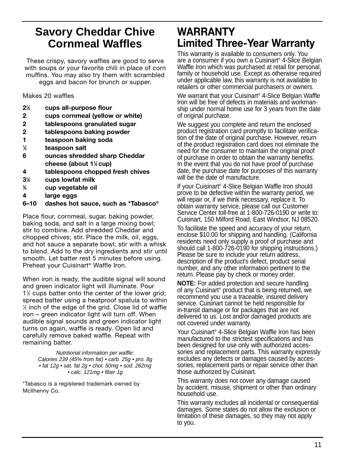#### **Savory Cheddar Chive Cornmeal Waffles**

These crispy, savory waffles are good to serve with soups or your favorite chili in place of corn muffins. You may also try them with scrambled eggs and bacon for brunch or supper.

Makes 20 waffles

- **21 ⁄2 cups all-purpose flour**
- **2 cups cornmeal (yellow or white)**
- **2 tablespoons granulated sugar**
- **2 tablespoons baking powder**
- **1 teaspoon baking soda**
- **1 ⁄2 teaspoon salt**
- **6 ounces shredded sharp Cheddar cheese (about 11 ⁄2 cup)**
- **4 tablespoons chopped fresh chives**
- **31 ⁄2 cups lowfat milk**
- **3 ⁄4 cup vegetable oil**
- **4 large eggs**
- **6–10 dashes hot sauce, such as \*Tabasco®**

Place flour, cornmeal, sugar, baking powder, baking soda, and salt in a large mixing bowl; stir to combine. Add shredded Cheddar and chopped chives; stir. Place the milk, oil, eggs, and hot sauce a separate bowl; stir with a whisk to blend. Add to the dry ingredients and stir until smooth. Let batter rest 5 minutes before using. Preheat your Cuisinart® Waffle Iron.

When iron is ready, the audible signal will sound and green indicator light will illuminate. Pour 1<sup>1/2</sup> cups batter onto the center of the lower grid; spread batter using a heatproof spatula to within  $\%$  inch of the edge of the grid. Close lid of waffle iron – green indicator light will turn off. When audible signal sounds and green indicator light turns on again, waffle is ready. Open lid and carefully remove baked waffle. Repeat with remaining batter.

> Nutritional information per waffle: Calories 239 (45% from fat) • carb. 25g • pro. 8g • fat 12g • sat. fat 2g • chol. 50mg • sod. 262mg • calc. 121mg • fiber 1g

\*Tabasco is a registered trademark owned by Mcllhenny Co.

#### **WARRANTY Limited Three-Year Warranty**

This warranty is available to consumers only. You are a consumer if you own a Cuisinart® 4-Slice Belgian Waffle Iron which was purchased at retail for personal, family or household use. Except as otherwise required under applicable law, this warranty is not available to retailers or other commercial purchasers or owners.

We warrant that your Cuisinart® 4-Slice Belgian Waffle Iron will be free of defects in materials and workmanship under normal home use for 3 years from the date of original purchase.

We suggest you complete and return the enclosed product registration card promptly to facilitate verification of the date of original purchase. However, return of the product registration card does not eliminate the need for the consumer to maintain the original proof of purchase in order to obtain the warranty benefits. In the event that you do not have proof of purchase date, the purchase date for purposes of this warranty will be the date of manufacture.

If your Cuisinart® 4-Slice Belgian Waffle Iron should prove to be defective within the warranty period, we will repair or, if we think necessary, replace it. To obtain warranty service, please call our Customer Service Center toll-free at 1-800-726-0190 or write to: Cuisinart, 150 Milford Road, East Windsor, NJ 08520.

To facilitate the speed and accuracy of your return, enclose \$10.00 for shipping and handling. (California residents need only supply a proof of purchase and should call 1-800-726-0190 for shipping instructions.) Please be sure to include your return address, description of the product's defect, product serial number, and any other information pertinent to the return. Please pay by check or money order.

**NOTE:** For added protection and secure handling of any Cuisinart® product that is being returned, we recommend you use a traceable, insured delivery service. Cuisinart cannot be held responsible for in-transit damage or for packages that are not delivered to us. Lost and/or damaged products are not covered under warranty.

Your Cuisinart® 4-Slice Belgian Waffle Iron has been manufactured to the strictest specifications and has been designed for use only with authorized accessories and replacement parts. This warranty expressly excludes any defects or damages caused by accessories, replacement parts or repair service other than those authorized by Cuisinart.

This warranty does not cover any damage caused by accident, misuse, shipment or other than ordinary household use.

This warranty excludes all incidental or consequential damages. Some states do not allow the exclusion or limitation of these damages, so they may not apply to you.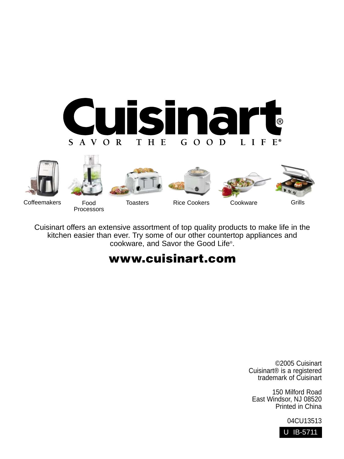











Coffeemakers Food

Processors

Cuisinart offers an extensive assortment of top quality products to make life in the kitchen easier than ever. Try some of our other countertop appliances and cookware, and Savor the Good Life®.

#### **www.cuisinart.com**

©2005 Cuisinart Cuisinart® is a registered trademark of Cuisinart

150 Milford Road East Windsor, NJ 08520 Printed in China

04CU13513